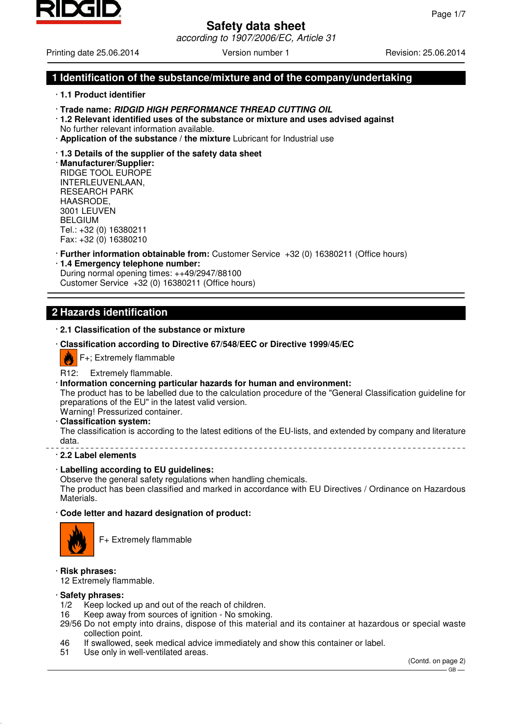

# **Safety data sheet** according to 1907/2006/EC, Article 31

Printing date 25.06.2014 **Version number 1** Revision: 25.06.2014

# **1 Identification of the substance/mixture and of the company/undertaking**

- · **1.1 Product identifier**
- · **Trade name: RIDGID HIGH PERFORMANCE THREAD CUTTING OIL**
- · **1.2 Relevant identified uses of the substance or mixture and uses advised against** No further relevant information available.
- · **Application of the substance / the mixture** Lubricant for Industrial use

#### · **1.3 Details of the supplier of the safety data sheet**

· **Manufacturer/Supplier:** RIDGE TOOL EUROPE INTERLEUVENLAAN, RESEARCH PARK HAASRODE, 3001 LEUVEN BELGIUM Tel.: +32 (0) 16380211 Fax: +32 (0) 16380210

- · **Further information obtainable from:** Customer Service +32 (0) 16380211 (Office hours)
- · **1.4 Emergency telephone number:** During normal opening times: ++49/2947/88100 Customer Service +32 (0) 16380211 (Office hours)

# **2 Hazards identification**

## · **2.1 Classification of the substance or mixture**

· **Classification according to Directive 67/548/EEC or Directive 1999/45/EC**



# R12: Extremely flammable.

· **Information concerning particular hazards for human and environment:**

The product has to be labelled due to the calculation procedure of the "General Classification guideline for preparations of the EU" in the latest valid version. Warning! Pressurized container.

#### · **Classification system:**

The classification is according to the latest editions of the EU-lists, and extended by company and literature data. 

## · **2.2 Label elements**

## · **Labelling according to EU guidelines:**

Observe the general safety regulations when handling chemicals.

The product has been classified and marked in accordance with EU Directives / Ordinance on Hazardous Materials.

# · **Code letter and hazard designation of product:**



F+ Extremely flammable

## · **Risk phrases:**

12 Extremely flammable.

#### · **Safety phrases:**

- 1/2 Keep locked up and out of the reach of children.
- 16 Keep away from sources of ignition No smoking.
- 29/56 Do not empty into drains, dispose of this material and its container at hazardous or special waste collection point.
- 46 If swallowed, seek medical advice immediately and show this container or label.
- 51 Use only in well-ventilated areas.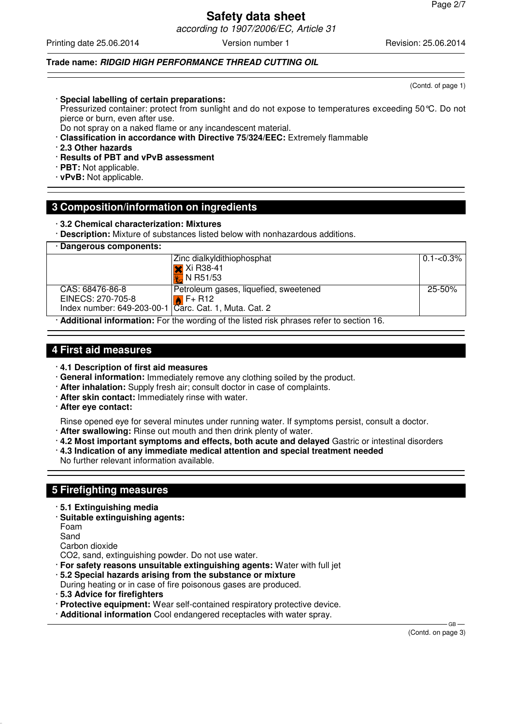according to 1907/2006/EC, Article 31

Printing date 25.06.2014 **Version number 1** Revision: 25.06.2014 **Revision: 25.06.2014** 

# **Trade name: RIDGID HIGH PERFORMANCE THREAD CUTTING OIL**

· **Special labelling of certain preparations:**

Pressurized container: protect from sunlight and do not expose to temperatures exceeding 50°C. Do not pierce or burn, even after use.

Do not spray on a naked flame or any incandescent material.

· **Classification in accordance with Directive 75/324/EEC:** Extremely flammable

· **2.3 Other hazards**

- · **Results of PBT and vPvB assessment**
- · **PBT:** Not applicable.
- · **vPvB:** Not applicable.

# **3 Composition/information on ingredients**

· **3.2 Chemical characterization: Mixtures**

· **Description:** Mixture of substances listed below with nonhazardous additions.

| · Dangerous components:                                                                |                                       |               |
|----------------------------------------------------------------------------------------|---------------------------------------|---------------|
|                                                                                        | Zinc dialkyldithiophosphat            | $0.1 - 0.3\%$ |
|                                                                                        | $\mathsf{\times}$ Xi R38-41           |               |
|                                                                                        | <b>X</b> , N R51/53                   |               |
| CAS: 68476-86-8                                                                        | Petroleum gases, liquefied, sweetened | $25 - 50%$    |
| EINECS: 270-705-8                                                                      | $\mathbf{A}$ F+ R12                   |               |
| Index number: 649-203-00-1   Carc. Cat. 1, Muta. Cat. 2                                |                                       |               |
| Additional information : Foutherness and the Bated ship showers setting a control of A |                                       |               |

· **Additional information:** For the wording of the listed risk phrases refer to section 16.

# **4 First aid measures**

- · **4.1 Description of first aid measures**
- · **General information:** Immediately remove any clothing soiled by the product.
- · **After inhalation:** Supply fresh air; consult doctor in case of complaints.
- · **After skin contact:** Immediately rinse with water.
- · **After eye contact:**

Rinse opened eye for several minutes under running water. If symptoms persist, consult a doctor.

- · **After swallowing:** Rinse out mouth and then drink plenty of water.
- · **4.2 Most important symptoms and effects, both acute and delayed** Gastric or intestinal disorders
- · **4.3 Indication of any immediate medical attention and special treatment needed**

No further relevant information available.

# **5 Firefighting measures**

- · **5.1 Extinguishing media**
- · **Suitable extinguishing agents:**

Foam

- Sand
- Carbon dioxide

CO2, sand, extinguishing powder. Do not use water.

- · **For safety reasons unsuitable extinguishing agents:** Water with full jet
- · **5.2 Special hazards arising from the substance or mixture**
- During heating or in case of fire poisonous gases are produced.
- · **5.3 Advice for firefighters**
- · **Protective equipment:** Wear self-contained respiratory protective device.
- · **Additional information** Cool endangered receptacles with water spray.

(Contd. on page 3)

GB-

(Contd. of page 1)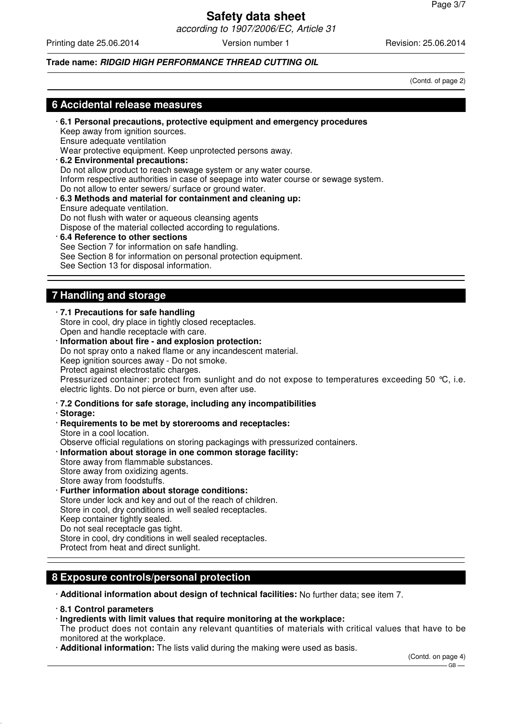according to 1907/2006/EC, Article 31

Printing date 25.06.2014 **Version number 1** Revision: 25.06.2014 **Revision: 25.06.2014** 

# **Trade name: RIDGID HIGH PERFORMANCE THREAD CUTTING OIL**

(Contd. of page 2)

# **6 Accidental release measures**

- · **6.1 Personal precautions, protective equipment and emergency procedures** Keep away from ignition sources. Ensure adequate ventilation Wear protective equipment. Keep unprotected persons away. · **6.2 Environmental precautions:** Do not allow product to reach sewage system or any water course. Inform respective authorities in case of seepage into water course or sewage system. Do not allow to enter sewers/ surface or ground water. · **6.3 Methods and material for containment and cleaning up:** Ensure adequate ventilation. Do not flush with water or aqueous cleansing agents Dispose of the material collected according to regulations. · **6.4 Reference to other sections**
- See Section 7 for information on safe handling. See Section 8 for information on personal protection equipment. See Section 13 for disposal information.

# **7 Handling and storage**

#### · **7.1 Precautions for safe handling** Store in cool, dry place in tightly closed receptacles. Open and handle receptacle with care.

· **Information about fire - and explosion protection:** Do not spray onto a naked flame or any incandescent material. Keep ignition sources away - Do not smoke. Protect against electrostatic charges. Pressurized container: protect from sunlight and do not expose to temperatures exceeding 50 °C, i.e. electric lights. Do not pierce or burn, even after use.

· **7.2 Conditions for safe storage, including any incompatibilities**

· **Storage:**

- · **Requirements to be met by storerooms and receptacles:** Store in a cool location. Observe official regulations on storing packagings with pressurized containers.
- · **Information about storage in one common storage facility:**
- Store away from flammable substances. Store away from oxidizing agents. Store away from foodstuffs. **Further information about storage conditions:**

Store under lock and key and out of the reach of children. Store in cool, dry conditions in well sealed receptacles. Keep container tightly sealed. Do not seal receptacle gas tight. Store in cool, dry conditions in well sealed receptacles. Protect from heat and direct sunlight.

# **8 Exposure controls/personal protection**

· **Additional information about design of technical facilities:** No further data; see item 7.

- · **8.1 Control parameters**
- · **Ingredients with limit values that require monitoring at the workplace:**

The product does not contain any relevant quantities of materials with critical values that have to be monitored at the workplace.

· **Additional information:** The lists valid during the making were used as basis.

(Contd. on page 4)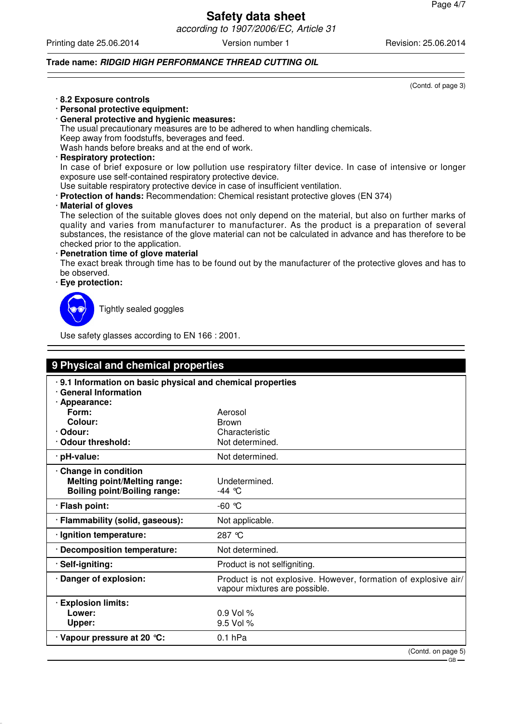according to 1907/2006/EC, Article 31

Printing date 25.06.2014 **Version number 1** Revision: 25.06.2014 **Revision: 25.06.2014** 

#### **Trade name: RIDGID HIGH PERFORMANCE THREAD CUTTING OIL**

· **8.2 Exposure controls**

- · **Personal protective equipment:**
- · **General protective and hygienic measures:**

The usual precautionary measures are to be adhered to when handling chemicals.

Keep away from foodstuffs, beverages and feed.

Wash hands before breaks and at the end of work.

## · **Respiratory protection:**

In case of brief exposure or low pollution use respiratory filter device. In case of intensive or longer exposure use self-contained respiratory protective device.

Use suitable respiratory protective device in case of insufficient ventilation.

· **Protection of hands:** Recommendation: Chemical resistant protective gloves (EN 374)

· **Material of gloves**

The selection of the suitable gloves does not only depend on the material, but also on further marks of quality and varies from manufacturer to manufacturer. As the product is a preparation of several substances, the resistance of the glove material can not be calculated in advance and has therefore to be checked prior to the application.

**Penetration time of glove material** 

The exact break through time has to be found out by the manufacturer of the protective gloves and has to be observed.

· **Eye protection:**



Tightly sealed goggles

Use safety glasses according to EN 166 : 2001.

| 9 Physical and chemical properties                                                                  |                                                                                                 |  |  |
|-----------------------------------------------------------------------------------------------------|-------------------------------------------------------------------------------------------------|--|--|
| 9.1 Information on basic physical and chemical properties<br>· General Information<br>· Appearance: |                                                                                                 |  |  |
| Form:                                                                                               | Aerosol                                                                                         |  |  |
| Colour:                                                                                             | <b>Brown</b>                                                                                    |  |  |
| · Odour:                                                                                            | Characteristic                                                                                  |  |  |
| <b>Odour threshold:</b>                                                                             | Not determined.                                                                                 |  |  |
| · pH-value:                                                                                         | Not determined.                                                                                 |  |  |
| Change in condition<br><b>Melting point/Melting range:</b><br><b>Boiling point/Boiling range:</b>   | Undetermined.<br>$-44$ °C                                                                       |  |  |
| · Flash point:                                                                                      | $-60$ °C                                                                                        |  |  |
| · Flammability (solid, gaseous):                                                                    | Not applicable.                                                                                 |  |  |
| · Ignition temperature:                                                                             | 287 ℃                                                                                           |  |  |
| · Decomposition temperature:                                                                        | Not determined.                                                                                 |  |  |
| · Self-igniting:                                                                                    | Product is not selfigniting.                                                                    |  |  |
| Danger of explosion:                                                                                | Product is not explosive. However, formation of explosive air/<br>vapour mixtures are possible. |  |  |
| · Explosion limits:                                                                                 |                                                                                                 |  |  |
| Lower:                                                                                              | $0.9$ Vol %                                                                                     |  |  |
| Upper:                                                                                              | 9.5 Vol %                                                                                       |  |  |
| $\cdot$ Vapour pressure at 20 $\degree$ C:                                                          | $0.1$ hPa                                                                                       |  |  |
|                                                                                                     | (Contd. on page 5)                                                                              |  |  |

GB-

(Contd. of page 3)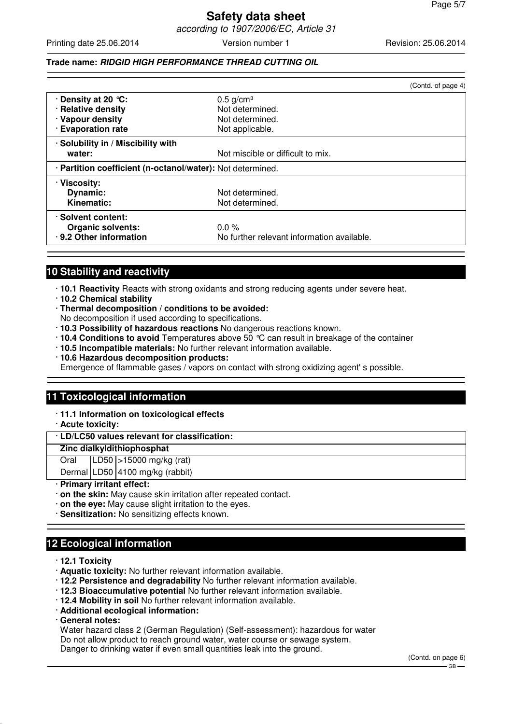# **Safety data sheet** according to 1907/2006/EC, Article 31

Printing date 25.06.2014 **Version number 1** Revision: 25.06.2014 **Revision: 25.06.2014** 

# **Trade name: RIDGID HIGH PERFORMANCE THREAD CUTTING OIL**

|                                                            |                                            | (Contd. of page 4) |
|------------------------------------------------------------|--------------------------------------------|--------------------|
| $\cdot$ Density at 20 $\degree$ C:                         | $0.5$ g/cm <sup>3</sup>                    |                    |
| · Relative density                                         | Not determined.                            |                    |
| · Vapour density                                           | Not determined.                            |                    |
| <b>Evaporation rate</b>                                    | Not applicable.                            |                    |
| · Solubility in / Miscibility with                         |                                            |                    |
| water:                                                     | Not miscible or difficult to mix.          |                    |
| · Partition coefficient (n-octanol/water): Not determined. |                                            |                    |
| · Viscosity:                                               |                                            |                    |
| <b>Dynamic:</b>                                            | Not determined.                            |                    |
| Kinematic:                                                 | Not determined.                            |                    |
| · Solvent content:                                         |                                            |                    |
| <b>Organic solvents:</b>                                   | $0.0\%$                                    |                    |
| · 9.2 Other information                                    | No further relevant information available. |                    |

# **10 Stability and reactivity**

- · **10.1 Reactivity** Reacts with strong oxidants and strong reducing agents under severe heat.
- · **10.2 Chemical stability**
- · **Thermal decomposition / conditions to be avoided:**
- No decomposition if used according to specifications.
- · **10.3 Possibility of hazardous reactions** No dangerous reactions known.
- · **10.4 Conditions to avoid** Temperatures above 50 °C can result in breakage of the container
- · **10.5 Incompatible materials:** No further relevant information available.
- · **10.6 Hazardous decomposition products:**

Emergence of flammable gases / vapors on contact with strong oxidizing agent' s possible.

# **11 Toxicological information**

- · **11.1 Information on toxicological effects**
- · **Acute toxicity:**

# · **LD/LC50 values relevant for classification:**

#### **Zinc dialkyldithiophosphat**

Oral LD50 >15000 mg/kg (rat)

Dermal LD50 4100 mg/kg (rabbit)

## · **Primary irritant effect:**

- · **on the skin:** May cause skin irritation after repeated contact.
- · **on the eye:** May cause slight irritation to the eyes.
- · **Sensitization:** No sensitizing effects known.

# **12 Ecological information**

- · **12.1 Toxicity**
- · **Aquatic toxicity:** No further relevant information available.
- · **12.2 Persistence and degradability** No further relevant information available.
- · **12.3 Bioaccumulative potential** No further relevant information available.
- · **12.4 Mobility in soil** No further relevant information available.
- · **Additional ecological information:**
- · **General notes:**

Water hazard class 2 (German Regulation) (Self-assessment): hazardous for water Do not allow product to reach ground water, water course or sewage system. Danger to drinking water if even small quantities leak into the ground.

(Contd. on page 6)

 $-$  GB -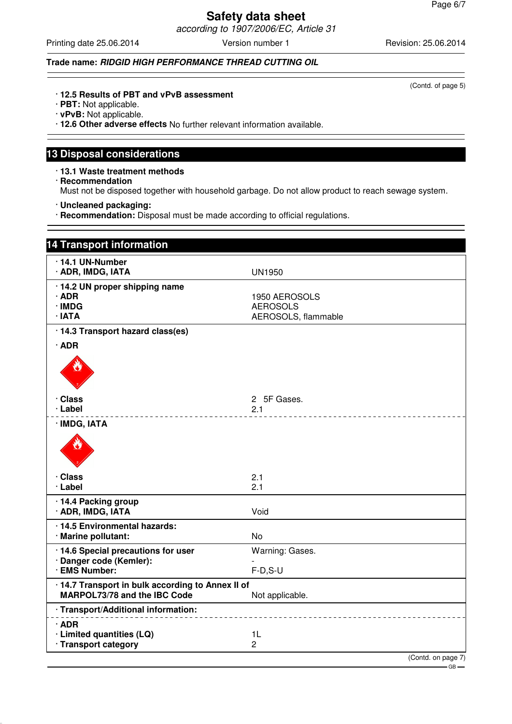according to 1907/2006/EC, Article 31

Printing date 25.06.2014 Version number 1 Revision: 25.06.2014

# **Trade name: RIDGID HIGH PERFORMANCE THREAD CUTTING OIL**

(Contd. of page 5)

- · **12.5 Results of PBT and vPvB assessment**
- · **PBT:** Not applicable.
- · **vPvB:** Not applicable.
- · **12.6 Other adverse effects** No further relevant information available.

# **13 Disposal considerations**

- · **13.1 Waste treatment methods** · **Recommendation** Must not be disposed together with household garbage. Do not allow product to reach sewage system.
- · **Uncleaned packaging:**
- · **Recommendation:** Disposal must be made according to official regulations.

| <b>14 Transport information</b>                                                   |                                                         |
|-----------------------------------------------------------------------------------|---------------------------------------------------------|
| 14.1 UN-Number<br>· ADR, IMDG, IATA                                               | <b>UN1950</b>                                           |
| · 14.2 UN proper shipping name<br>$\cdot$ ADR<br>· IMDG<br>· IATA                 | 1950 AEROSOLS<br><b>AEROSOLS</b><br>AEROSOLS, flammable |
| · 14.3 Transport hazard class(es)<br>$\cdot$ ADR                                  |                                                         |
| · Class<br>· Label                                                                | 2 5F Gases.<br>2.1                                      |
| · IMDG, IATA                                                                      |                                                         |
| · Class<br>· Label                                                                | 2.1<br>2.1                                              |
| · 14.4 Packing group<br>· ADR, IMDG, IATA                                         | Void                                                    |
| · 14.5 Environmental hazards:<br>· Marine pollutant:                              | <b>No</b>                                               |
| · 14.6 Special precautions for user<br>· Danger code (Kemler):<br>· EMS Number:   | Warning: Gases.<br>$F-D, S-U$                           |
| · 14.7 Transport in bulk according to Annex II of<br>MARPOL73/78 and the IBC Code | Not applicable.                                         |
| · Transport/Additional information:                                               |                                                         |
| ∙ADR<br>· Limited quantities (LQ)<br>· Transport category                         | 1L<br>$\overline{c}$                                    |
|                                                                                   | (Contd. on page 7)                                      |

 $-$  GB  $-$